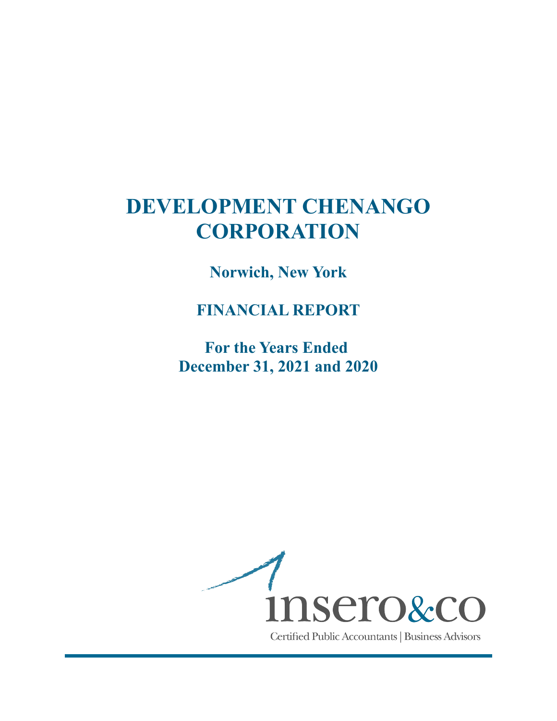**Norwich, New York** 

**FINANCIAL REPORT** 

**For the Years Ended December 31, 2021 and 2020**

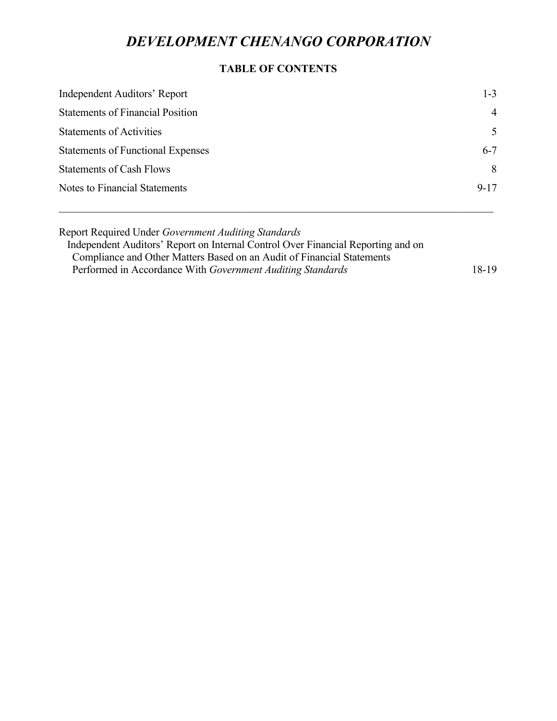## **TABLE OF CONTENTS**

| Independent Auditors' Report             | $1 - 3$                  |
|------------------------------------------|--------------------------|
| <b>Statements of Financial Position</b>  | $\overline{4}$           |
| <b>Statements of Activities</b>          | $\overline{\mathcal{L}}$ |
| <b>Statements of Functional Expenses</b> | $6 - 7$                  |
| <b>Statements of Cash Flows</b>          | 8                        |
| Notes to Financial Statements            | $9 - 17$                 |

Report Required Under *Government Auditing Standards*

Independent Auditors' Report on Internal Control Over Financial Reporting and on

 Compliance and Other Matters Based on an Audit of Financial Statements Performed in Accordance With *Government Auditing Standards* 18-19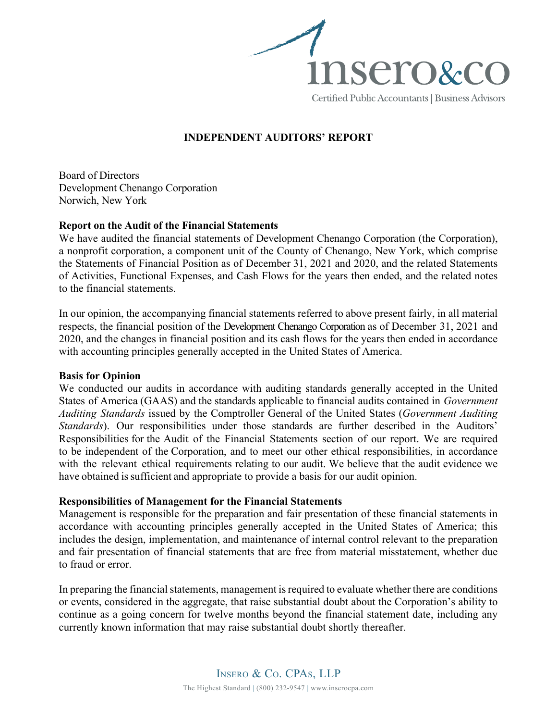

# **INDEPENDENT AUDITORS' REPORT**

Board of Directors Development Chenango Corporation Norwich, New York

### **Report on the Audit of the Financial Statements**

We have audited the financial statements of Development Chenango Corporation (the Corporation), a nonprofit corporation, a component unit of the County of Chenango, New York, which comprise the Statements of Financial Position as of December 31, 2021 and 2020, and the related Statements of Activities, Functional Expenses, and Cash Flows for the years then ended, and the related notes to the financial statements.

In our opinion, the accompanying financial statements referred to above present fairly, in all material respects, the financial position of the Development Chenango Corporation as of December 31, 2021 and 2020, and the changes in financial position and its cash flows for the years then ended in accordance with accounting principles generally accepted in the United States of America.

#### **Basis for Opinion**

We conducted our audits in accordance with auditing standards generally accepted in the United States of America (GAAS) and the standards applicable to financial audits contained in *Government Auditing Standards* issued by the Comptroller General of the United States (*Government Auditing Standards*). Our responsibilities under those standards are further described in the Auditors' Responsibilities for the Audit of the Financial Statements section of our report. We are required to be independent of the Corporation, and to meet our other ethical responsibilities, in accordance with the relevant ethical requirements relating to our audit. We believe that the audit evidence we have obtained is sufficient and appropriate to provide a basis for our audit opinion.

#### **Responsibilities of Management for the Financial Statements**

Management is responsible for the preparation and fair presentation of these financial statements in accordance with accounting principles generally accepted in the United States of America; this includes the design, implementation, and maintenance of internal control relevant to the preparation and fair presentation of financial statements that are free from material misstatement, whether due to fraud or error.

In preparing the financial statements, management is required to evaluate whether there are conditions or events, considered in the aggregate, that raise substantial doubt about the Corporation's ability to continue as a going concern for twelve months beyond the financial statement date, including any currently known information that may raise substantial doubt shortly thereafter.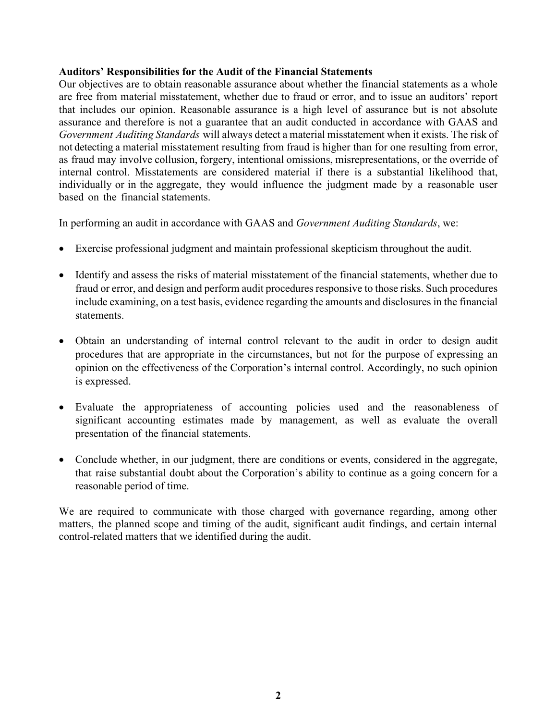### **Auditors' Responsibilities for the Audit of the Financial Statements**

Our objectives are to obtain reasonable assurance about whether the financial statements as a whole are free from material misstatement, whether due to fraud or error, and to issue an auditors' report that includes our opinion. Reasonable assurance is a high level of assurance but is not absolute assurance and therefore is not a guarantee that an audit conducted in accordance with GAAS and *Government Auditing Standards* will always detect a material misstatement when it exists. The risk of not detecting a material misstatement resulting from fraud is higher than for one resulting from error, as fraud may involve collusion, forgery, intentional omissions, misrepresentations, or the override of internal control. Misstatements are considered material if there is a substantial likelihood that, individually or in the aggregate, they would influence the judgment made by a reasonable user based on the financial statements.

In performing an audit in accordance with GAAS and *Government Auditing Standards*, we:

- Exercise professional judgment and maintain professional skepticism throughout the audit.
- Identify and assess the risks of material misstatement of the financial statements, whether due to fraud or error, and design and perform audit procedures responsive to those risks. Such procedures include examining, on a test basis, evidence regarding the amounts and disclosures in the financial statements.
- Obtain an understanding of internal control relevant to the audit in order to design audit procedures that are appropriate in the circumstances, but not for the purpose of expressing an opinion on the effectiveness of the Corporation's internal control. Accordingly, no such opinion is expressed.
- Evaluate the appropriateness of accounting policies used and the reasonableness of significant accounting estimates made by management, as well as evaluate the overall presentation of the financial statements.
- Conclude whether, in our judgment, there are conditions or events, considered in the aggregate, that raise substantial doubt about the Corporation's ability to continue as a going concern for a reasonable period of time.

We are required to communicate with those charged with governance regarding, among other matters, the planned scope and timing of the audit, significant audit findings, and certain internal control-related matters that we identified during the audit.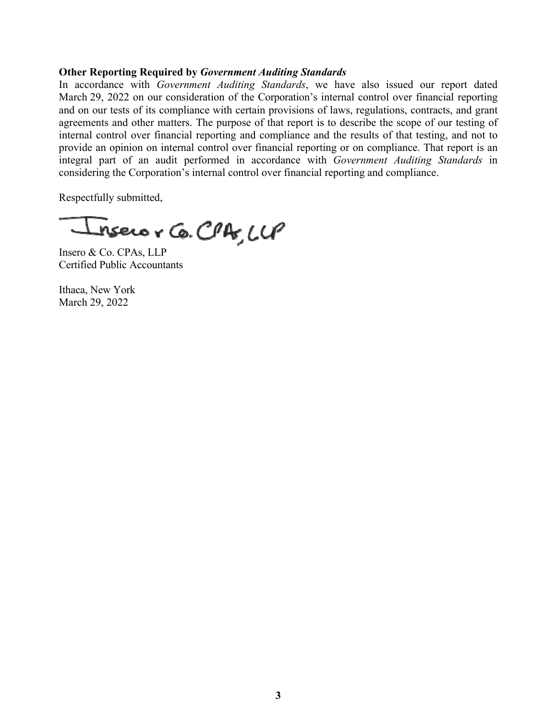### **Other Reporting Required by** *Government Auditing Standards*

In accordance with *Government Auditing Standards*, we have also issued our report dated March 29, 2022 on our consideration of the Corporation's internal control over financial reporting and on our tests of its compliance with certain provisions of laws, regulations, contracts, and grant agreements and other matters. The purpose of that report is to describe the scope of our testing of internal control over financial reporting and compliance and the results of that testing, and not to provide an opinion on internal control over financial reporting or on compliance. That report is an integral part of an audit performed in accordance with *Government Auditing Standards* in considering the Corporation's internal control over financial reporting and compliance.

Respectfully submitted,

nsero r Co. CPA, LLP

Insero & Co. CPAs, LLP Certified Public Accountants

Ithaca, New York March 29, 2022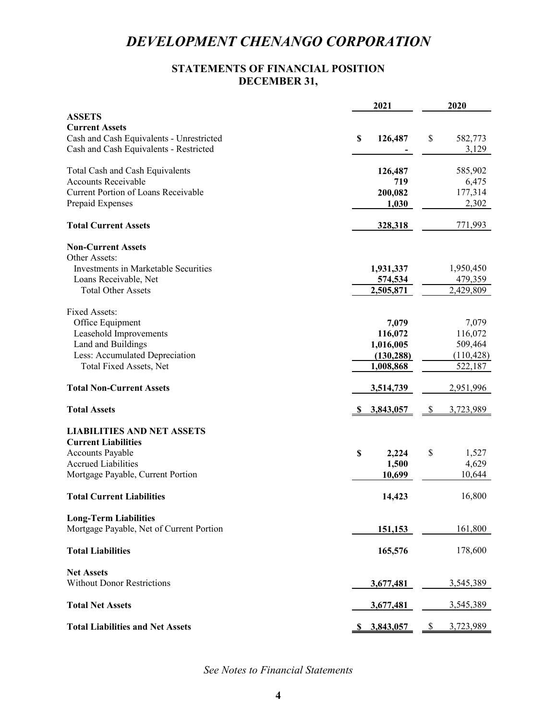## **STATEMENTS OF FINANCIAL POSITION DECEMBER 31,**

|                                            | 2021             | 2020                      |
|--------------------------------------------|------------------|---------------------------|
| <b>ASSETS</b>                              |                  |                           |
| <b>Current Assets</b>                      |                  |                           |
| Cash and Cash Equivalents - Unrestricted   | \$<br>126,487    | \$<br>582,773             |
| Cash and Cash Equivalents - Restricted     |                  | 3,129                     |
|                                            |                  |                           |
| Total Cash and Cash Equivalents            | 126,487          | 585,902                   |
| <b>Accounts Receivable</b>                 | 719              | 6,475                     |
| <b>Current Portion of Loans Receivable</b> | 200,082          | 177,314                   |
| Prepaid Expenses                           | 1,030            | 2,302                     |
|                                            |                  |                           |
| <b>Total Current Assets</b>                | 328,318          | 771,993                   |
| <b>Non-Current Assets</b>                  |                  |                           |
| Other Assets:                              |                  |                           |
| Investments in Marketable Securities       | 1,931,337        | 1,950,450                 |
| Loans Receivable, Net                      | 574,534          | 479,359                   |
| <b>Total Other Assets</b>                  | 2,505,871        | 2,429,809                 |
|                                            |                  |                           |
| <b>Fixed Assets:</b>                       |                  |                           |
| Office Equipment                           | 7,079            | 7,079                     |
| Leasehold Improvements                     | 116,072          | 116,072                   |
| Land and Buildings                         | 1,016,005        | 509,464                   |
| Less: Accumulated Depreciation             | (130, 288)       | (110, 428)                |
| <b>Total Fixed Assets, Net</b>             | 1,008,868        | 522,187                   |
|                                            |                  |                           |
| <b>Total Non-Current Assets</b>            | 3,514,739        | 2,951,996                 |
| <b>Total Assets</b>                        | 3,843,057        | 3,723,989<br><sup>8</sup> |
|                                            |                  |                           |
| <b>LIABILITIES AND NET ASSETS</b>          |                  |                           |
| <b>Current Liabilities</b>                 |                  |                           |
| <b>Accounts Payable</b>                    | \$<br>2,224      | \$<br>1,527               |
| <b>Accrued Liabilities</b>                 | 1,500            | 4,629                     |
| Mortgage Payable, Current Portion          | 10,699           | 10,644                    |
|                                            |                  |                           |
| <b>Total Current Liabilities</b>           | 14,423           | 16,800                    |
| <b>Long-Term Liabilities</b>               |                  |                           |
| Mortgage Payable, Net of Current Portion   | 151,153          | 161,800                   |
|                                            |                  |                           |
| <b>Total Liabilities</b>                   | 165,576          | 178,600                   |
| <b>Net Assets</b>                          |                  |                           |
| <b>Without Donor Restrictions</b>          | 3,677,481        | 3,545,389                 |
|                                            |                  |                           |
| <b>Total Net Assets</b>                    | <u>3,677,481</u> | 3,545,389                 |
|                                            |                  |                           |
| <b>Total Liabilities and Net Assets</b>    | 3,843,057<br>S.  | \$<br>3,723,989           |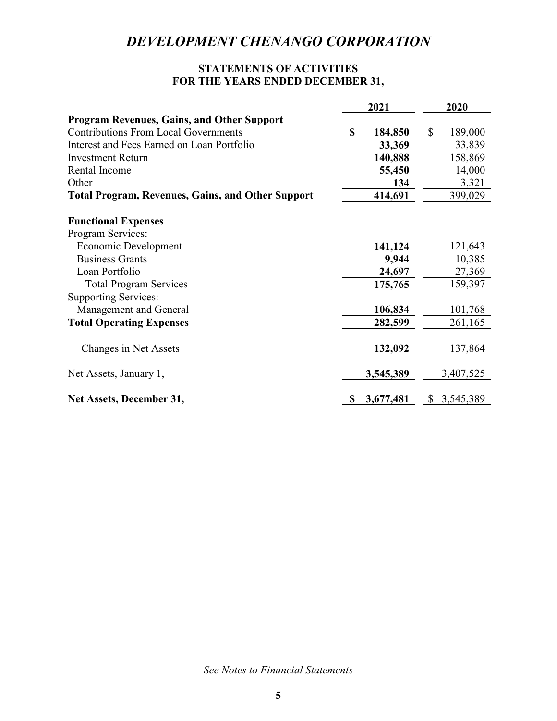# **STATEMENTS OF ACTIVITIES FOR THE YEARS ENDED DECEMBER 31,**

|                                                          | 2021 |           |              | 2020      |  |
|----------------------------------------------------------|------|-----------|--------------|-----------|--|
| <b>Program Revenues, Gains, and Other Support</b>        |      |           |              |           |  |
| <b>Contributions From Local Governments</b>              | \$   | 184,850   | $\mathbb{S}$ | 189,000   |  |
| Interest and Fees Earned on Loan Portfolio               |      | 33,369    |              | 33,839    |  |
| <b>Investment Return</b>                                 |      | 140,888   |              | 158,869   |  |
| Rental Income                                            |      | 55,450    |              | 14,000    |  |
| Other                                                    |      | 134       |              | 3,321     |  |
| <b>Total Program, Revenues, Gains, and Other Support</b> |      | 414,691   |              | 399,029   |  |
| <b>Functional Expenses</b>                               |      |           |              |           |  |
| Program Services:                                        |      |           |              |           |  |
| Economic Development                                     |      | 141,124   |              | 121,643   |  |
| <b>Business Grants</b>                                   |      | 9,944     |              | 10,385    |  |
| Loan Portfolio                                           |      | 24,697    |              | 27,369    |  |
| <b>Total Program Services</b>                            |      | 175,765   |              | 159,397   |  |
| <b>Supporting Services:</b>                              |      |           |              |           |  |
| Management and General                                   |      | 106,834   |              | 101,768   |  |
| <b>Total Operating Expenses</b>                          |      | 282,599   |              | 261,165   |  |
| Changes in Net Assets                                    |      | 132,092   |              | 137,864   |  |
| Net Assets, January 1,                                   |      | 3,545,389 |              | 3,407,525 |  |
| Net Assets, December 31,                                 |      | 3,677,481 |              | 3,545,389 |  |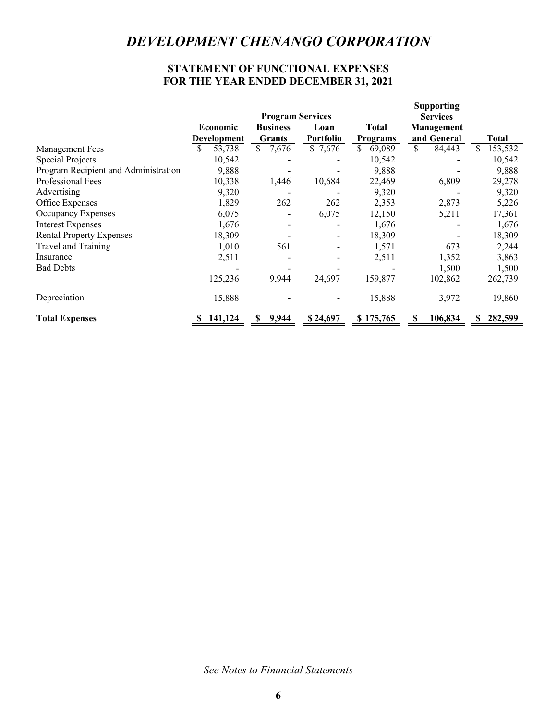# **STATEMENT OF FUNCTIONAL EXPENSES FOR THE YEAR ENDED DECEMBER 31, 2021**

|                                      |                                | <b>Program Services</b>          |                          |                                 | Supporting<br><b>Services</b>    |               |
|--------------------------------------|--------------------------------|----------------------------------|--------------------------|---------------------------------|----------------------------------|---------------|
|                                      | Economic<br><b>Development</b> | <b>Business</b><br><b>Grants</b> | Loan<br><b>Portfolio</b> | <b>Total</b><br><b>Programs</b> | <b>Management</b><br>and General | <b>Total</b>  |
| Management Fees                      | 53,738<br>S                    | \$<br>7,676                      | \$7,676                  | 69,089                          | \$<br>84,443                     | S.<br>153,532 |
| <b>Special Projects</b>              | 10,542                         |                                  |                          | 10,542                          |                                  | 10,542        |
| Program Recipient and Administration | 9,888                          |                                  |                          | 9,888                           |                                  | 9,888         |
| Professional Fees                    | 10,338                         | 1,446                            | 10,684                   | 22,469                          | 6,809                            | 29,278        |
| Advertising                          | 9,320                          |                                  |                          | 9,320                           |                                  | 9,320         |
| Office Expenses                      | 1,829                          | 262                              | 262                      | 2,353                           | 2,873                            | 5,226         |
| Occupancy Expenses                   | 6,075                          |                                  | 6,075                    | 12,150                          | 5,211                            | 17,361        |
| <b>Interest Expenses</b>             | 1,676                          |                                  |                          | 1,676                           |                                  | 1,676         |
| <b>Rental Property Expenses</b>      | 18,309                         |                                  | $\overline{\phantom{a}}$ | 18,309                          |                                  | 18,309        |
| Travel and Training                  | 1,010                          | 561                              |                          | 1,571                           | 673                              | 2,244         |
| Insurance                            | 2,511                          |                                  |                          | 2,511                           | 1,352                            | 3,863         |
| <b>Bad Debts</b>                     |                                |                                  |                          |                                 | 1,500                            | 1,500         |
|                                      | 125,236                        | 9,944                            | 24,697                   | 159,877                         | 102,862                          | 262,739       |
| Depreciation                         | 15,888                         |                                  |                          | 15,888                          | 3,972                            | 19,860        |
| <b>Total Expenses</b>                | 141,124                        | 9,944<br>\$                      | \$24,697                 | \$175,765                       | 106,834<br>\$                    | 282,599       |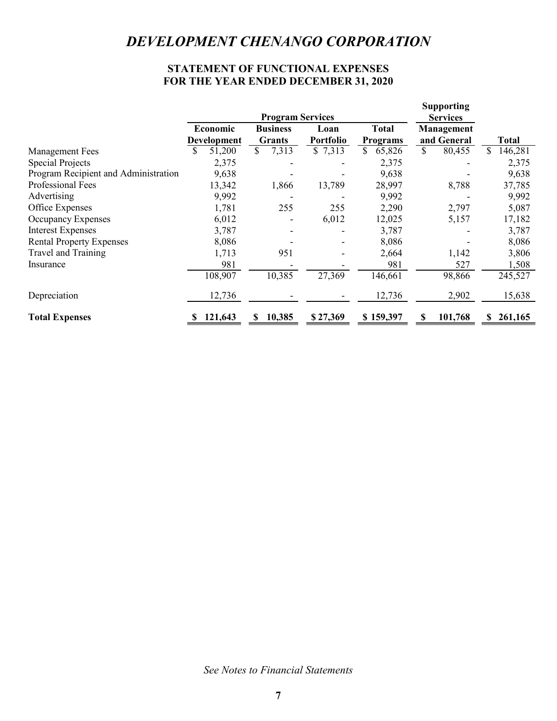## **STATEMENT OF FUNCTIONAL EXPENSES FOR THE YEAR ENDED DECEMBER 31, 2020**

|                                      |             | <b>Program Services</b> |                  |                 | <b>Supporting</b><br><b>Services</b> |              |
|--------------------------------------|-------------|-------------------------|------------------|-----------------|--------------------------------------|--------------|
|                                      | Economic    | <b>Business</b>         | Loan             | <b>Total</b>    | Management                           |              |
|                                      | Development | Grants                  | <b>Portfolio</b> | <b>Programs</b> | and General                          | <b>Total</b> |
| Management Fees                      | 51,200      | 7,313<br>S.             | \$7,313          | 65,826          | $\overline{\mathcal{S}}$<br>80,455   | 146,281      |
| <b>Special Projects</b>              | 2,375       |                         |                  | 2,375           |                                      | 2,375        |
| Program Recipient and Administration | 9,638       |                         |                  | 9,638           |                                      | 9,638        |
| Professional Fees                    | 13,342      | 1,866                   | 13,789           | 28,997          | 8,788                                | 37,785       |
| Advertising                          | 9,992       |                         |                  | 9,992           |                                      | 9,992        |
| Office Expenses                      | 1,781       | 255                     | 255              | 2,290           | 2,797                                | 5,087        |
| Occupancy Expenses                   | 6,012       |                         | 6,012            | 12,025          | 5,157                                | 17,182       |
| <b>Interest Expenses</b>             | 3,787       |                         |                  | 3,787           |                                      | 3,787        |
| <b>Rental Property Expenses</b>      | 8,086       |                         |                  | 8,086           |                                      | 8,086        |
| Travel and Training                  | 1,713       | 951                     |                  | 2,664           | 1,142                                | 3,806        |
| Insurance                            | 981         |                         |                  | 981             | 527                                  | 1,508        |
|                                      | 108,907     | 10,385                  | 27,369           | 146,661         | 98,866                               | 245,527      |
| Depreciation                         | 12,736      |                         |                  | 12,736          | 2,902                                | 15,638       |
| <b>Total Expenses</b>                | 121,643     | 10,385<br>S             | \$27,369         | \$159,397       | 101,768<br>S                         | 261,165      |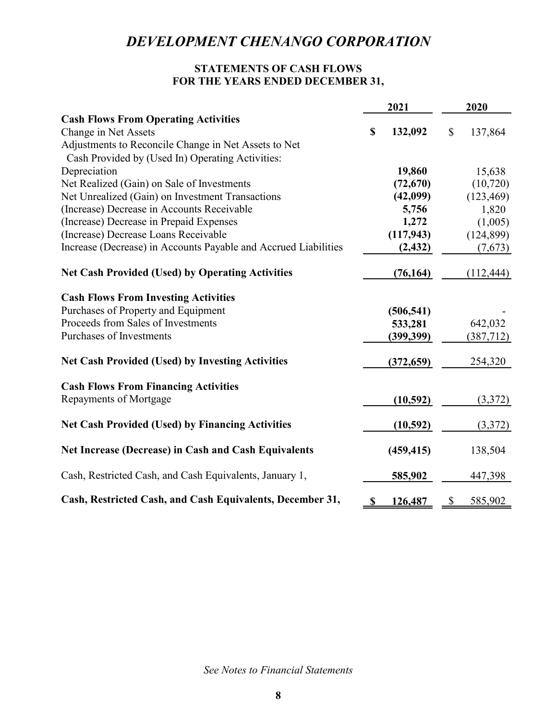### **STATEMENTS OF CASH FLOWS FOR THE YEARS ENDED DECEMBER 31,**

|                                                                 | 2021          | 2020          |
|-----------------------------------------------------------------|---------------|---------------|
| <b>Cash Flows From Operating Activities</b>                     |               |               |
| Change in Net Assets                                            | \$<br>132,092 | \$<br>137,864 |
| Adjustments to Reconcile Change in Net Assets to Net            |               |               |
| Cash Provided by (Used In) Operating Activities:                |               |               |
| Depreciation                                                    | 19,860        | 15,638        |
| Net Realized (Gain) on Sale of Investments                      | (72, 670)     | (10, 720)     |
| Net Unrealized (Gain) on Investment Transactions                | (42,099)      | (123, 469)    |
| (Increase) Decrease in Accounts Receivable                      | 5,756         | 1,820         |
| (Increase) Decrease in Prepaid Expenses                         | 1,272         | (1,005)       |
| (Increase) Decrease Loans Receivable                            | (117, 943)    | (124, 899)    |
| Increase (Decrease) in Accounts Payable and Accrued Liabilities | (2, 432)      | (7,673)       |
| <b>Net Cash Provided (Used) by Operating Activities</b>         | (76, 164)     | (112, 444)    |
| <b>Cash Flows From Investing Activities</b>                     |               |               |
| Purchases of Property and Equipment                             | (506, 541)    |               |
| Proceeds from Sales of Investments                              | 533,281       | 642,032       |
| Purchases of Investments                                        | (399, 399)    | (387, 712)    |
| <b>Net Cash Provided (Used) by Investing Activities</b>         | (372, 659)    | 254,320       |
| <b>Cash Flows From Financing Activities</b>                     |               |               |
| Repayments of Mortgage                                          | (10, 592)     | (3,372)       |
| <b>Net Cash Provided (Used) by Financing Activities</b>         | (10, 592)     | (3,372)       |
| <b>Net Increase (Decrease) in Cash and Cash Equivalents</b>     | (459, 415)    | 138,504       |
| Cash, Restricted Cash, and Cash Equivalents, January 1,         | 585,902       | 447,398       |
| Cash, Restricted Cash, and Cash Equivalents, December 31,       | \$<br>126,487 | \$<br>585,902 |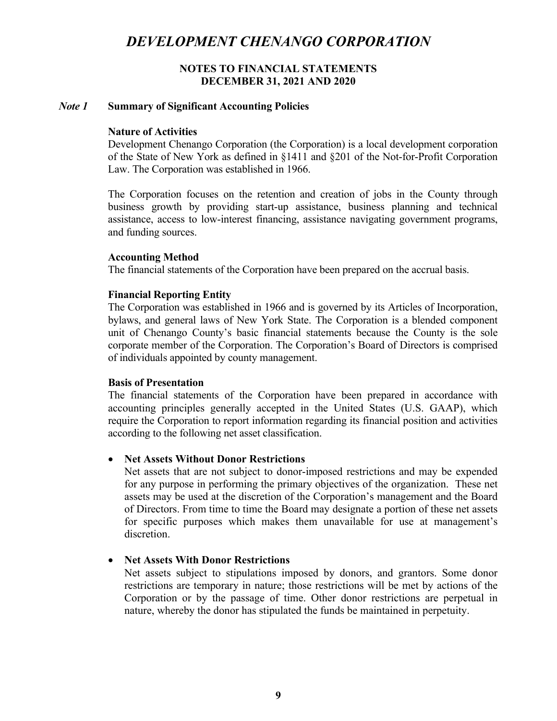#### **NOTES TO FINANCIAL STATEMENTS DECEMBER 31, 2021 AND 2020**

#### *Note 1* **Summary of Significant Accounting Policies**

#### **Nature of Activities**

Development Chenango Corporation (the Corporation) is a local development corporation of the State of New York as defined in §1411 and §201 of the Not-for-Profit Corporation Law. The Corporation was established in 1966.

The Corporation focuses on the retention and creation of jobs in the County through business growth by providing start-up assistance, business planning and technical assistance, access to low-interest financing, assistance navigating government programs, and funding sources.

#### **Accounting Method**

The financial statements of the Corporation have been prepared on the accrual basis.

#### **Financial Reporting Entity**

The Corporation was established in 1966 and is governed by its Articles of Incorporation, bylaws, and general laws of New York State. The Corporation is a blended component unit of Chenango County's basic financial statements because the County is the sole corporate member of the Corporation. The Corporation's Board of Directors is comprised of individuals appointed by county management.

#### **Basis of Presentation**

The financial statements of the Corporation have been prepared in accordance with accounting principles generally accepted in the United States (U.S. GAAP), which require the Corporation to report information regarding its financial position and activities according to the following net asset classification.

#### **Net Assets Without Donor Restrictions**

Net assets that are not subject to donor-imposed restrictions and may be expended for any purpose in performing the primary objectives of the organization. These net assets may be used at the discretion of the Corporation's management and the Board of Directors. From time to time the Board may designate a portion of these net assets for specific purposes which makes them unavailable for use at management's discretion.

#### **Net Assets With Donor Restrictions**

Net assets subject to stipulations imposed by donors, and grantors. Some donor restrictions are temporary in nature; those restrictions will be met by actions of the Corporation or by the passage of time. Other donor restrictions are perpetual in nature, whereby the donor has stipulated the funds be maintained in perpetuity.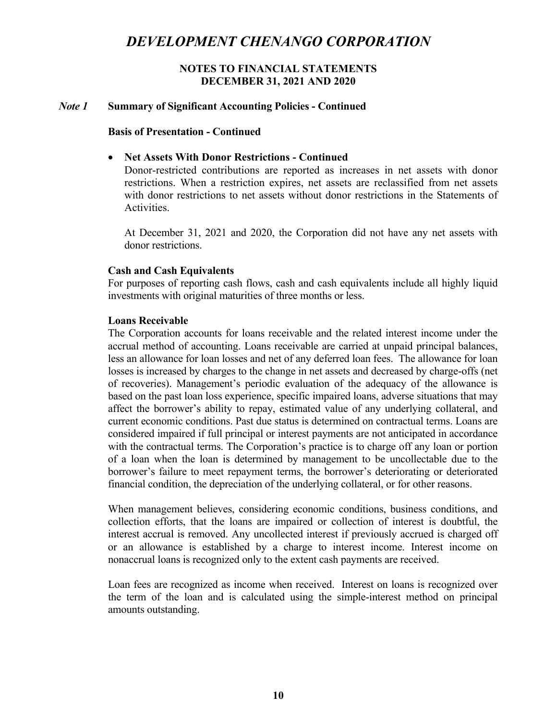#### **NOTES TO FINANCIAL STATEMENTS DECEMBER 31, 2021 AND 2020**

#### *Note 1* **Summary of Significant Accounting Policies - Continued**

#### **Basis of Presentation - Continued**

#### **Net Assets With Donor Restrictions - Continued**

Donor-restricted contributions are reported as increases in net assets with donor restrictions. When a restriction expires, net assets are reclassified from net assets with donor restrictions to net assets without donor restrictions in the Statements of Activities.

At December 31, 2021 and 2020, the Corporation did not have any net assets with donor restrictions.

#### **Cash and Cash Equivalents**

For purposes of reporting cash flows, cash and cash equivalents include all highly liquid investments with original maturities of three months or less.

#### **Loans Receivable**

The Corporation accounts for loans receivable and the related interest income under the accrual method of accounting. Loans receivable are carried at unpaid principal balances, less an allowance for loan losses and net of any deferred loan fees. The allowance for loan losses is increased by charges to the change in net assets and decreased by charge-offs (net of recoveries). Management's periodic evaluation of the adequacy of the allowance is based on the past loan loss experience, specific impaired loans, adverse situations that may affect the borrower's ability to repay, estimated value of any underlying collateral, and current economic conditions. Past due status is determined on contractual terms. Loans are considered impaired if full principal or interest payments are not anticipated in accordance with the contractual terms. The Corporation's practice is to charge off any loan or portion of a loan when the loan is determined by management to be uncollectable due to the borrower's failure to meet repayment terms, the borrower's deteriorating or deteriorated financial condition, the depreciation of the underlying collateral, or for other reasons.

When management believes, considering economic conditions, business conditions, and collection efforts, that the loans are impaired or collection of interest is doubtful, the interest accrual is removed. Any uncollected interest if previously accrued is charged off or an allowance is established by a charge to interest income. Interest income on nonaccrual loans is recognized only to the extent cash payments are received.

Loan fees are recognized as income when received. Interest on loans is recognized over the term of the loan and is calculated using the simple-interest method on principal amounts outstanding.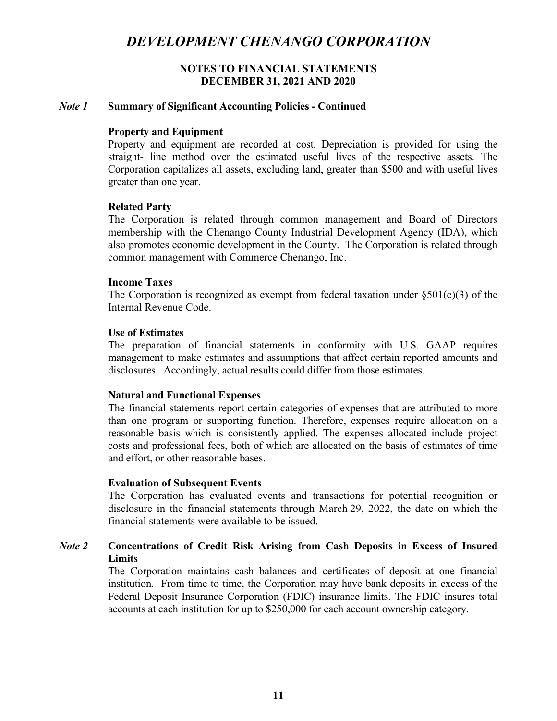#### **NOTES TO FINANCIAL STATEMENTS DECEMBER 31, 2021 AND 2020**

#### *Note 1* **Summary of Significant Accounting Policies - Continued**

#### **Property and Equipment**

Property and equipment are recorded at cost. Depreciation is provided for using the straight- line method over the estimated useful lives of the respective assets. The Corporation capitalizes all assets, excluding land, greater than \$500 and with useful lives greater than one year.

#### **Related Party**

The Corporation is related through common management and Board of Directors membership with the Chenango County Industrial Development Agency (IDA), which also promotes economic development in the County. The Corporation is related through common management with Commerce Chenango, Inc.

#### **Income Taxes**

The Corporation is recognized as exempt from federal taxation under  $\S501(c)(3)$  of the Internal Revenue Code.

#### **Use of Estimates**

The preparation of financial statements in conformity with U.S. GAAP requires management to make estimates and assumptions that affect certain reported amounts and disclosures. Accordingly, actual results could differ from those estimates.

#### **Natural and Functional Expenses**

The financial statements report certain categories of expenses that are attributed to more than one program or supporting function. Therefore, expenses require allocation on a reasonable basis which is consistently applied. The expenses allocated include project costs and professional fees, both of which are allocated on the basis of estimates of time and effort, or other reasonable bases.

#### **Evaluation of Subsequent Events**

The Corporation has evaluated events and transactions for potential recognition or disclosure in the financial statements through March 29, 2022, the date on which the financial statements were available to be issued.

### *Note 2* **Concentrations of Credit Risk Arising from Cash Deposits in Excess of Insured Limits**

The Corporation maintains cash balances and certificates of deposit at one financial institution. From time to time, the Corporation may have bank deposits in excess of the Federal Deposit Insurance Corporation (FDIC) insurance limits. The FDIC insures total accounts at each institution for up to \$250,000 for each account ownership category.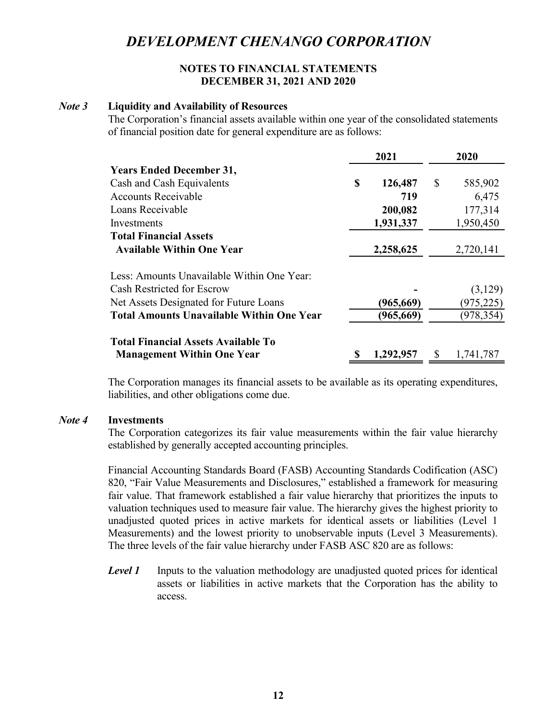#### **NOTES TO FINANCIAL STATEMENTS DECEMBER 31, 2021 AND 2020**

#### *Note 3* **Liquidity and Availability of Resources**

The Corporation's financial assets available within one year of the consolidated statements of financial position date for general expenditure are as follows:

|                                                  | 2021 |           |    | 2020       |
|--------------------------------------------------|------|-----------|----|------------|
| <b>Years Ended December 31,</b>                  |      |           |    |            |
| Cash and Cash Equivalents                        | S    | 126,487   | \$ | 585,902    |
| <b>Accounts Receivable</b>                       |      | 719       |    | 6,475      |
| Loans Receivable                                 |      | 200,082   |    | 177,314    |
| Investments                                      |      | 1,931,337 |    | 1,950,450  |
| <b>Total Financial Assets</b>                    |      |           |    |            |
| <b>Available Within One Year</b>                 |      | 2,258,625 |    | 2,720,141  |
| Less: Amounts Unavailable Within One Year:       |      |           |    |            |
| Cash Restricted for Escrow                       |      |           |    | (3,129)    |
| Net Assets Designated for Future Loans           |      | (965,669) |    | (975, 225) |
| <b>Total Amounts Unavailable Within One Year</b> |      | (965,669) |    | (978, 354) |
| <b>Total Financial Assets Available To</b>       |      |           |    |            |
| <b>Management Within One Year</b>                | \$   | 1,292,957 | S  | 1,741,787  |

The Corporation manages its financial assets to be available as its operating expenditures, liabilities, and other obligations come due.

#### *Note 4* **Investments**

The Corporation categorizes its fair value measurements within the fair value hierarchy established by generally accepted accounting principles.

 Financial Accounting Standards Board (FASB) Accounting Standards Codification (ASC) 820, "Fair Value Measurements and Disclosures," established a framework for measuring fair value. That framework established a fair value hierarchy that prioritizes the inputs to valuation techniques used to measure fair value. The hierarchy gives the highest priority to unadjusted quoted prices in active markets for identical assets or liabilities (Level 1 Measurements) and the lowest priority to unobservable inputs (Level 3 Measurements). The three levels of the fair value hierarchy under FASB ASC 820 are as follows:

**Level 1** Inputs to the valuation methodology are unadjusted quoted prices for identical assets or liabilities in active markets that the Corporation has the ability to access.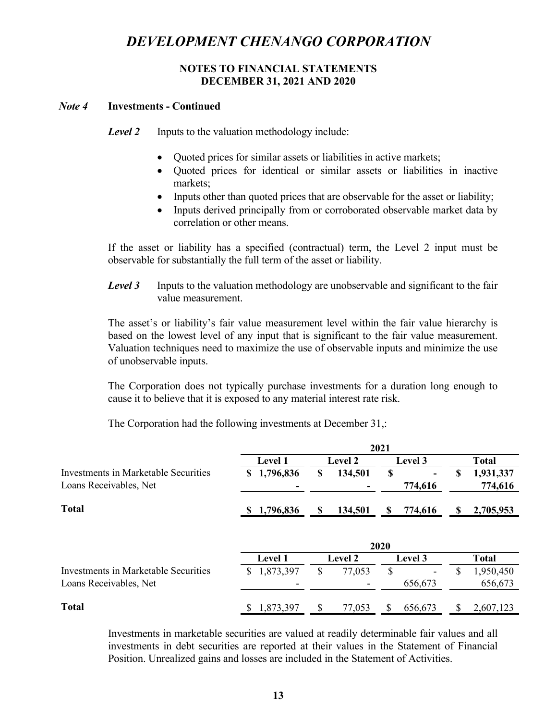### **NOTES TO FINANCIAL STATEMENTS DECEMBER 31, 2021 AND 2020**

#### *Note 4* **Investments - Continued**

*Level 2* Inputs to the valuation methodology include:

- Quoted prices for similar assets or liabilities in active markets;
- Quoted prices for identical or similar assets or liabilities in inactive markets;
- Inputs other than quoted prices that are observable for the asset or liability;
- Inputs derived principally from or corroborated observable market data by correlation or other means.

 If the asset or liability has a specified (contractual) term, the Level 2 input must be observable for substantially the full term of the asset or liability.

**Level 3** Inputs to the valuation methodology are unobservable and significant to the fair value measurement.

 The asset's or liability's fair value measurement level within the fair value hierarchy is based on the lowest level of any input that is significant to the fair value measurement. Valuation techniques need to maximize the use of observable inputs and minimize the use of unobservable inputs.

 The Corporation does not typically purchase investments for a duration long enough to cause it to believe that it is exposed to any material interest rate risk.

The Corporation had the following investments at December 31,:

|     | Level 1   |                      |         |                           |              |                    | <b>Total</b> |
|-----|-----------|----------------------|---------|---------------------------|--------------|--------------------|--------------|
| S   | 1,796,836 | \$                   | 134,501 | \$                        |              | \$                 | 1,931,337    |
|     |           |                      |         |                           | 774,616      |                    | 774,616      |
| SS. |           | S                    | 134,501 | S                         | 774,616      | S                  | 2,705,953    |
|     |           |                      |         |                           |              |                    |              |
|     |           |                      |         |                           |              |                    | <b>Total</b> |
|     |           |                      |         |                           |              |                    |              |
| S   | 1,873,397 | \$                   | 77,053  | $\mathbf S$               |              | S                  | 1,950,450    |
|     |           |                      |         |                           | 656,673      |                    | 656,673      |
|     |           | 1,796,836<br>Level 1 |         | <b>Level 2</b><br>Level 2 | 2021<br>2020 | Level 3<br>Level 3 |              |

Investments in marketable securities are valued at readily determinable fair values and all investments in debt securities are reported at their values in the Statement of Financial Position. Unrealized gains and losses are included in the Statement of Activities.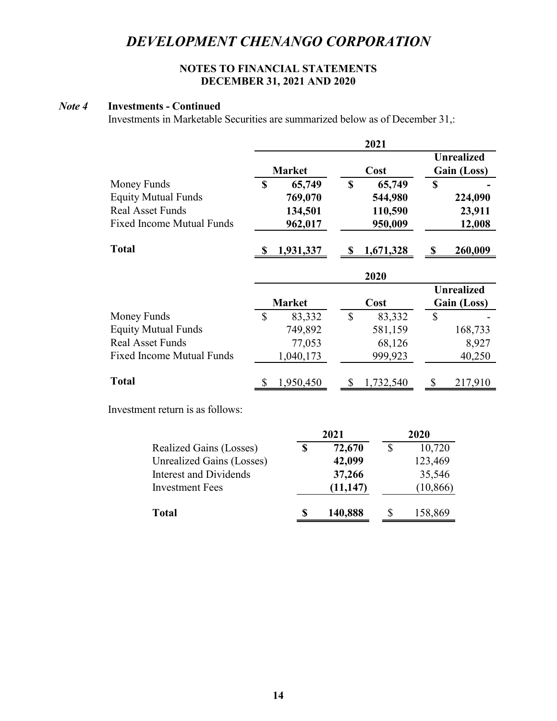### **NOTES TO FINANCIAL STATEMENTS DECEMBER 31, 2021 AND 2020**

### *Note 4* **Investments - Continued**

Investments in Marketable Securities are summarized below as of December 31,:

|                                  |              |               |               | 2021         |                           |                   |
|----------------------------------|--------------|---------------|---------------|--------------|---------------------------|-------------------|
|                                  |              |               |               |              |                           | <b>Unrealized</b> |
|                                  |              | <b>Market</b> |               | Cost         |                           | Gain (Loss)       |
| Money Funds                      | \$           | 65,749        | $\mathbf S$   | 65,749       | $\mathbf S$               |                   |
| <b>Equity Mutual Funds</b>       |              | 769,070       |               | 544,980      |                           | 224,090           |
| <b>Real Asset Funds</b>          |              | 134,501       |               | 110,590      |                           | 23,911            |
| <b>Fixed Income Mutual Funds</b> |              | 962,017       |               | 950,009      |                           | 12,008            |
| <b>Total</b>                     | \$           | 1,931,337     | S             | 1,671,328    | \$                        | 260,009           |
|                                  |              |               |               | 2020         |                           |                   |
|                                  |              |               |               |              |                           | <b>Unrealized</b> |
|                                  |              | <b>Market</b> |               | Cost         |                           | Gain (Loss)       |
| Money Funds                      | $\mathbb{S}$ | 83,332        | $\mathcal{S}$ | 83,332       | $\mathbb{S}$              |                   |
| <b>Equity Mutual Funds</b>       |              | 749,892       |               | 581,159      |                           | 168,733           |
| <b>Real Asset Funds</b>          |              | 77,053        |               | 68,126       |                           | 8,927             |
| <b>Fixed Income Mutual Funds</b> |              | 1,040,173     |               | 999,923      |                           | 40,250            |
| <b>Total</b>                     | \$           | 1,950,450     | \$            | 1,732,540    | $\boldsymbol{\mathsf{S}}$ | 217,910           |
| Investment return is as follows: |              |               |               |              |                           |                   |
|                                  |              |               | 2021          |              | 2020                      |                   |
| Realized Gains (Losses)          |              | $\mathbf S$   | 72,670        | $\mathbb{S}$ | 10,720                    |                   |
| <b>Unrealized Gains (Losses)</b> |              |               | 42,099        |              | 123,469                   |                   |
| <b>Interest and Dividends</b>    |              |               | 37,266        |              | 35,546                    |                   |
| <b>Investment Fees</b>           |              |               | (11, 147)     |              | (10, 866)                 |                   |
| <b>Total</b>                     |              | \$            | 140,888       | \$           | 158,869                   |                   |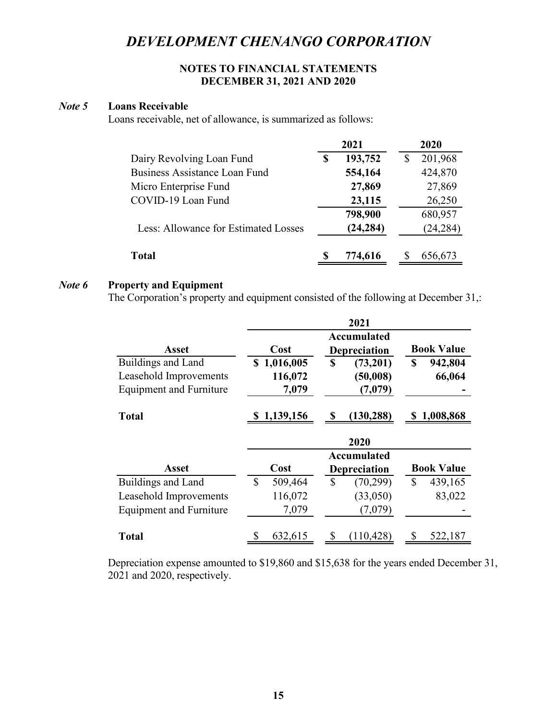### **NOTES TO FINANCIAL STATEMENTS DECEMBER 31, 2021 AND 2020**

#### *Note 5* **Loans Receivable**

Loans receivable, net of allowance, is summarized as follows:

|                                      |   | 2021      | 2020          |
|--------------------------------------|---|-----------|---------------|
| Dairy Revolving Loan Fund            | S | 193,752   | \$<br>201,968 |
| <b>Business Assistance Loan Fund</b> |   | 554,164   | 424,870       |
| Micro Enterprise Fund                |   | 27,869    | 27,869        |
| COVID-19 Loan Fund                   |   | 23,115    | 26,250        |
|                                      |   | 798,900   | 680,957       |
| Less: Allowance for Estimated Losses |   | (24, 284) | (24, 284)     |
| <b>Total</b>                         | S | 774,616   | 656,673       |

### *Note 6* **Property and Equipment**

The Corporation's property and equipment consisted of the following at December 31,:

|                                |               | 2021                |                   |
|--------------------------------|---------------|---------------------|-------------------|
|                                |               | <b>Accumulated</b>  |                   |
| Asset                          | Cost          | <b>Depreciation</b> | <b>Book Value</b> |
| Buildings and Land             | \$1,016,005   | \$<br>(73,201)      | 942,804<br>S      |
| Leasehold Improvements         | 116,072       | (50,008)            | 66,064            |
| <b>Equipment and Furniture</b> | 7,079         | (7,079)             |                   |
| <b>Total</b>                   | \$1,139,156   | (130, 288)<br>S     | 1,008,868<br>S    |
|                                |               |                     |                   |
|                                |               | 2020                |                   |
|                                |               | <b>Accumulated</b>  |                   |
| <b>Asset</b>                   | Cost          | <b>Depreciation</b> | <b>Book Value</b> |
| Buildings and Land             | \$<br>509,464 | \$<br>(70, 299)     | \$<br>439,165     |
| Leasehold Improvements         | 116,072       | (33,050)            | 83,022            |
| <b>Equipment and Furniture</b> | 7,079         | (7,079)             |                   |
| <b>Total</b>                   | 632,615       | (110, 428)          | 522,187           |

 Depreciation expense amounted to \$19,860 and \$15,638 for the years ended December 31, 2021 and 2020, respectively.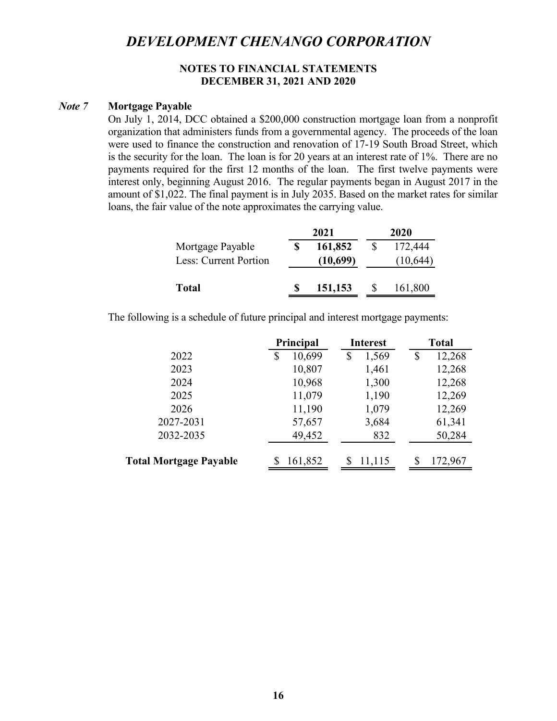#### **NOTES TO FINANCIAL STATEMENTS DECEMBER 31, 2021 AND 2020**

#### *Note 7* **Mortgage Payable**

On July 1, 2014, DCC obtained a \$200,000 construction mortgage loan from a nonprofit organization that administers funds from a governmental agency. The proceeds of the loan were used to finance the construction and renovation of 17-19 South Broad Street, which is the security for the loan. The loan is for 20 years at an interest rate of 1%. There are no payments required for the first 12 months of the loan. The first twelve payments were interest only, beginning August 2016. The regular payments began in August 2017 in the amount of \$1,022. The final payment is in July 2035. Based on the market rates for similar loans, the fair value of the note approximates the carrying value.

|                       | 2021 |          | 2020     |
|-----------------------|------|----------|----------|
| Mortgage Payable      |      | 161,852  | 172,444  |
| Less: Current Portion |      | (10,699) | (10,644) |
| <b>Total</b>          |      | 151,153  | 161,800  |
|                       |      |          |          |

The following is a schedule of future principal and interest mortgage payments:

|                               | Principal    | <b>Interest</b> | <b>Total</b>   |
|-------------------------------|--------------|-----------------|----------------|
| 2022                          | 10,699<br>\$ | 1,569<br>\$     | 12,268<br>S    |
| 2023                          | 10,807       | 1,461           | 12,268         |
| 2024                          | 10,968       | 1,300           | 12,268         |
| 2025                          | 11,079       | 1,190           | 12,269         |
| 2026                          | 11,190       | 1,079           | 12,269         |
| 2027-2031                     | 57,657       | 3,684           | 61,341         |
| 2032-2035                     | 49,452       | 832             | 50,284         |
| <b>Total Mortgage Payable</b> | 161,852<br>S | 11,115<br>S     | 172,967<br>۰D. |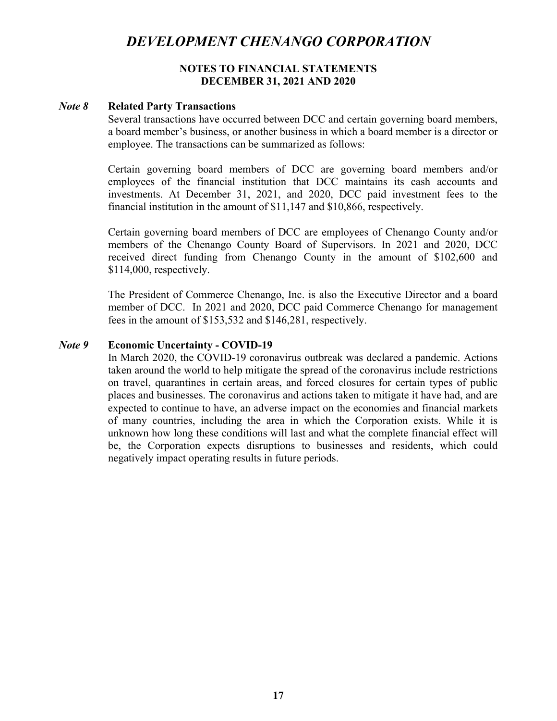### **NOTES TO FINANCIAL STATEMENTS DECEMBER 31, 2021 AND 2020**

#### *Note 8* **Related Party Transactions**

 Several transactions have occurred between DCC and certain governing board members, a board member's business, or another business in which a board member is a director or employee. The transactions can be summarized as follows:

 Certain governing board members of DCC are governing board members and/or employees of the financial institution that DCC maintains its cash accounts and investments. At December 31, 2021, and 2020, DCC paid investment fees to the financial institution in the amount of \$11,147 and \$10,866, respectively.

Certain governing board members of DCC are employees of Chenango County and/or members of the Chenango County Board of Supervisors. In 2021 and 2020, DCC received direct funding from Chenango County in the amount of \$102,600 and \$114,000, respectively.

The President of Commerce Chenango, Inc. is also the Executive Director and a board member of DCC. In 2021 and 2020, DCC paid Commerce Chenango for management fees in the amount of \$153,532 and \$146,281, respectively.

### *Note 9* **Economic Uncertainty - COVID-19**

In March 2020, the COVID-19 coronavirus outbreak was declared a pandemic. Actions taken around the world to help mitigate the spread of the coronavirus include restrictions on travel, quarantines in certain areas, and forced closures for certain types of public places and businesses. The coronavirus and actions taken to mitigate it have had, and are expected to continue to have, an adverse impact on the economies and financial markets of many countries, including the area in which the Corporation exists. While it is unknown how long these conditions will last and what the complete financial effect will be, the Corporation expects disruptions to businesses and residents, which could negatively impact operating results in future periods.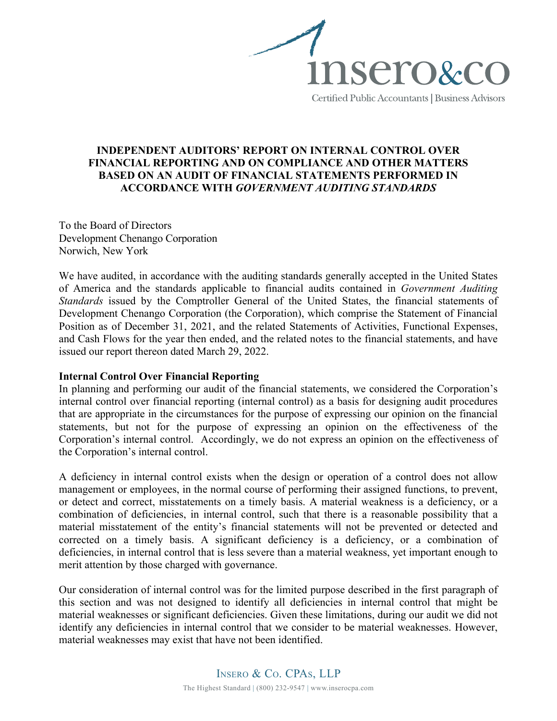

### **INDEPENDENT AUDITORS' REPORT ON INTERNAL CONTROL OVER FINANCIAL REPORTING AND ON COMPLIANCE AND OTHER MATTERS BASED ON AN AUDIT OF FINANCIAL STATEMENTS PERFORMED IN ACCORDANCE WITH** *GOVERNMENT AUDITING STANDARDS*

To the Board of Directors Development Chenango Corporation Norwich, New York

We have audited, in accordance with the auditing standards generally accepted in the United States of America and the standards applicable to financial audits contained in *Government Auditing Standards* issued by the Comptroller General of the United States, the financial statements of Development Chenango Corporation (the Corporation), which comprise the Statement of Financial Position as of December 31, 2021, and the related Statements of Activities, Functional Expenses, and Cash Flows for the year then ended, and the related notes to the financial statements, and have issued our report thereon dated March 29, 2022.

#### **Internal Control Over Financial Reporting**

In planning and performing our audit of the financial statements, we considered the Corporation's internal control over financial reporting (internal control) as a basis for designing audit procedures that are appropriate in the circumstances for the purpose of expressing our opinion on the financial statements, but not for the purpose of expressing an opinion on the effectiveness of the Corporation's internal control. Accordingly, we do not express an opinion on the effectiveness of the Corporation's internal control.

A deficiency in internal control exists when the design or operation of a control does not allow management or employees, in the normal course of performing their assigned functions, to prevent, or detect and correct, misstatements on a timely basis. A material weakness is a deficiency, or a combination of deficiencies, in internal control, such that there is a reasonable possibility that a material misstatement of the entity's financial statements will not be prevented or detected and corrected on a timely basis. A significant deficiency is a deficiency, or a combination of deficiencies, in internal control that is less severe than a material weakness, yet important enough to merit attention by those charged with governance.

Our consideration of internal control was for the limited purpose described in the first paragraph of this section and was not designed to identify all deficiencies in internal control that might be material weaknesses or significant deficiencies. Given these limitations, during our audit we did not identify any deficiencies in internal control that we consider to be material weaknesses. However, material weaknesses may exist that have not been identified.